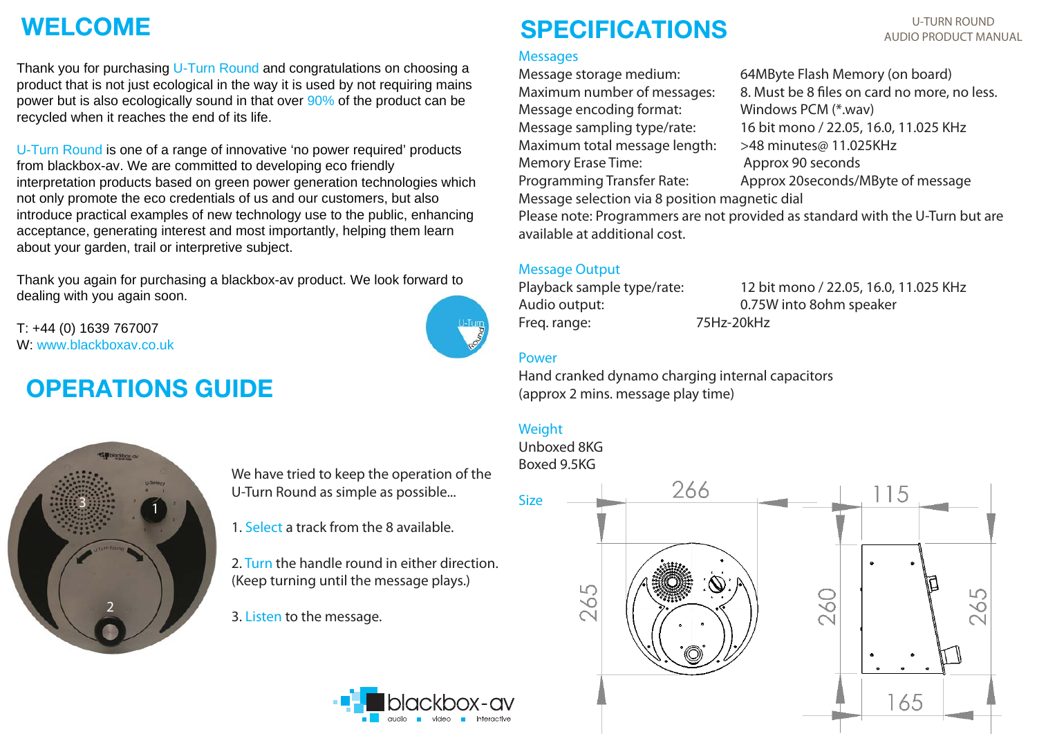## **WELCOME**

Thank you for purchasing U-Turn Round and congratulations on choosing a product that is not just ecological in the way it is used by not requiring mains power but is also ecologically sound in that over 90% of the product can be recycled when it reaches the end of its life.

U-Turn Round is one of a range of innovative 'no power required' products from blackbox-av. We are committed to developing eco friendly interpretation products based on green power generation technologies which not only promote the eco credentials of us and our customers, but also introduce practical examples of new technology use to the public, enhancing acceptance, generating interest and most importantly, helping them learn about your garden, trail or interpretive subject.

Thank you again for purchasing a blackbox-av product. We look forward to dealing with you again soon.

T: +44 (0) 1639 767007 W: www.blackboxav.co.uk

## **OPERATIONS GUIDE**





We have tried to keep the operation of the U-Turn Round as simple as possible...

1. Select a track from the 8 available.

2. Turn the handle round in either direction. (Keep turning until the message plays.)

3. Listen to the message.



**Messages** 

Memory Erase Time: Approx 90 seconds

**SPECIFICATIONS**

Message selection via 8 position magnetic dial

Please note: Programmers are not provided as standard with the U-Turn but are available at additional cost.

### Message Output

Freq. range: 75Hz-20kHz

Playback sample type/rate: 12 bit mono / 22.05, 16.0, 11.025 KHz Audio output: 0.75W into 8ohm speaker

#### Power

Hand cranked dynamo charging internal capacitors (approx 2 mins. message play time)

### Weight

Unboxed 8KGBoxed 9.5KG



#### U-TURN ROUNDAUDIO PRODUCT MANUAL

Message storage medium: 64MByte Flash Memory (on board) Maximum number of messages: 8. Must be 8 files on card no more, no less. Message sampling type/rate: 16 bit mono / 22.05, 16.0, 11.025 KHz Maximum total message length: >48 minutes@ 11.025KHz Programming Transfer Rate: Approx 20seconds/MByte of message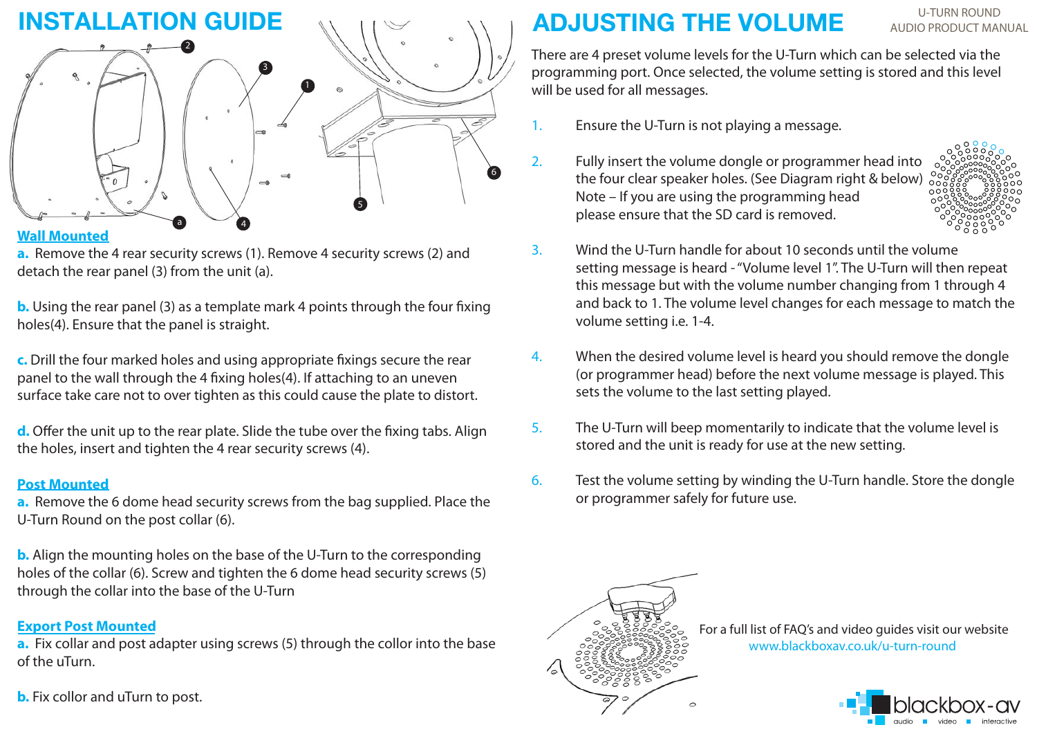

#### **Wall Mounted**

**a.** Remove the 4 rear security screws (1). Remove 4 security screws (2) and detach the rear panel (3) from the unit (a).

**b.** Using the rear panel (3) as a template mark 4 points through the four fixing holes(4). Ensure that the panel is straight.

**c.** Drill the four marked holes and using appropriate fixings secure the rear panel to the wall through the 4 fixing holes(4). If attaching to an uneven surface take care not to over tighten as this could cause the plate to distort.

**d.** Offer the unit up to the rear plate. Slide the tube over the fixing tabs. Align the holes, insert and tighten the 4 rear security screws (4).

### **Post Mounted**

**a.** Remove the 6 dome head security screws from the bag supplied. Place the U-Turn Round on the post collar (6).

**b.** Align the mounting holes on the base of the U-Turn to the corresponding holes of the collar (6). Screw and tighten the 6 dome head security screws (5) through the collar into the base of the U-Turn

### **Export Post Mounted**

**a.** Fix collar and post adapter using screws (5) through the collor into the base of the uTurn.

**b.** Fix collor and uTurn to post.

## **ADJUSTING THE VOLUME**

U-TURN ROUNDAUDIO PRODUCT MANUAL

There are 4 preset volume levels for the U-Turn which can be selected via the programming port. Once selected, the volume setting is stored and this level will be used for all messages.

- 1. Ensure the U-Turn is not playing a message.
- 2. Fully insert the volume dongle or programmer head into the four clear speaker holes. (See Diagram right & below) Note – If you are using the programming head please ensure that the SD card is removed.



- 3. Wind the U-Turn handle for about 10 seconds until the volume setting message is heard - "Volume level 1". The U-Turn will then repeat this message but with the volume number changing from 1 through 4 and back to 1. The volume level changes for each message to match the volume setting i.e. 1-4.
- 4. When the desired volume level is heard you should remove the dongle (or programmer head) before the next volume message is played. This sets the volume to the last setting played.
- 5. The U-Turn will beep momentarily to indicate that the volume level is stored and the unit is ready for use at the new setting.
- 6. Test the volume setting by winding the U-Turn handle. Store the dongle or programmer safely for future use.



 For a full list of FAQ's and video guides visit our website www.blackboxav.co.uk/u-turn-round

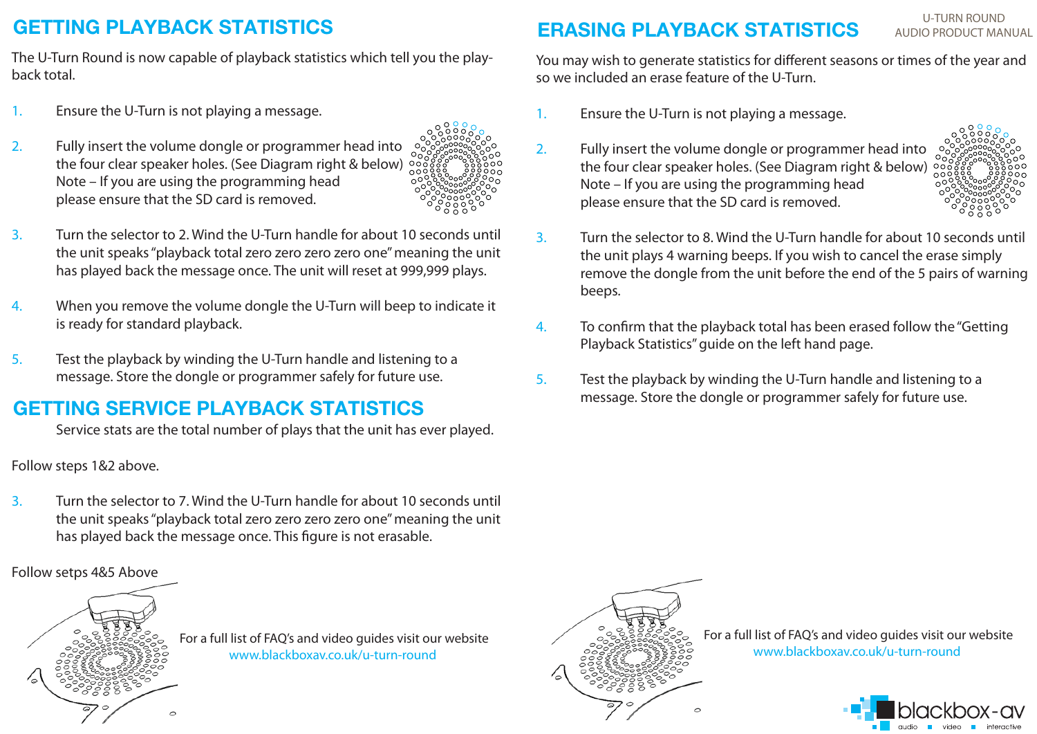### **GETTING PLAYBACK STATISTICS**

The U-Turn Round is now capable of playback statistics which tell you the playback total.

- 1. Ensure the U-Turn is not playing a message.
- 2. Fully insert the volume dongle or programmer head into the four clear speaker holes. (See Diagram right & below) Note – If you are using the programming head please ensure that the SD card is removed.



- 3. Turn the selector to 2. Wind the U-Turn handle for about 10 seconds until the unit speaks "playback total zero zero zero zero one" meaning the unit has played back the message once. The unit will reset at 999,999 plays.
- 4. When you remove the volume dongle the U-Turn will beep to indicate it is ready for standard playback.
- 5. Test the playback by winding the U-Turn handle and listening to a message. Store the dongle or programmer safely for future use.

### **GETTING SERVICE PLAYBACK STATISTICS**

Service stats are the total number of plays that the unit has ever played.

Follow steps 1&2 above.

3. Turn the selector to 7. Wind the U-Turn handle for about 10 seconds until the unit speaks "playback total zero zero zero zero one" meaning the unit has played back the message once. This figure is not erasable.

Follow setps 4&5 Above



 For a full list of FAQ's and video guides visit our website www.blackboxav.co.uk/u-turn-round



 For a full list of FAQ's and video guides visit our website www.blackboxav.co.uk/u-turn-round



### **ERASING PLAYBACK STATISTICS**

U-TURN ROUNDAUDIO PRODUCT MANUAL

You may wish to generate statistics for different seasons or times of the year and so we included an erase feature of the U-Turn.

- 1. Ensure the U-Turn is not playing a message.
- 2. Fully insert the volume dongle or programmer head into the four clear speaker holes. (See Diagram right & below) Note – If you are using the programming head please ensure that the SD card is removed.



- 3. Turn the selector to 8. Wind the U-Turn handle for about 10 seconds until the unit plays 4 warning beeps. If you wish to cancel the erase simply remove the dongle from the unit before the end of the 5 pairs of warning beeps.
- 4. To confirm that the playback total has been erased follow the "Getting Playback Statistics" guide on the left hand page.
- 5. Test the playback by winding the U-Turn handle and listening to a message. Store the dongle or programmer safely for future use.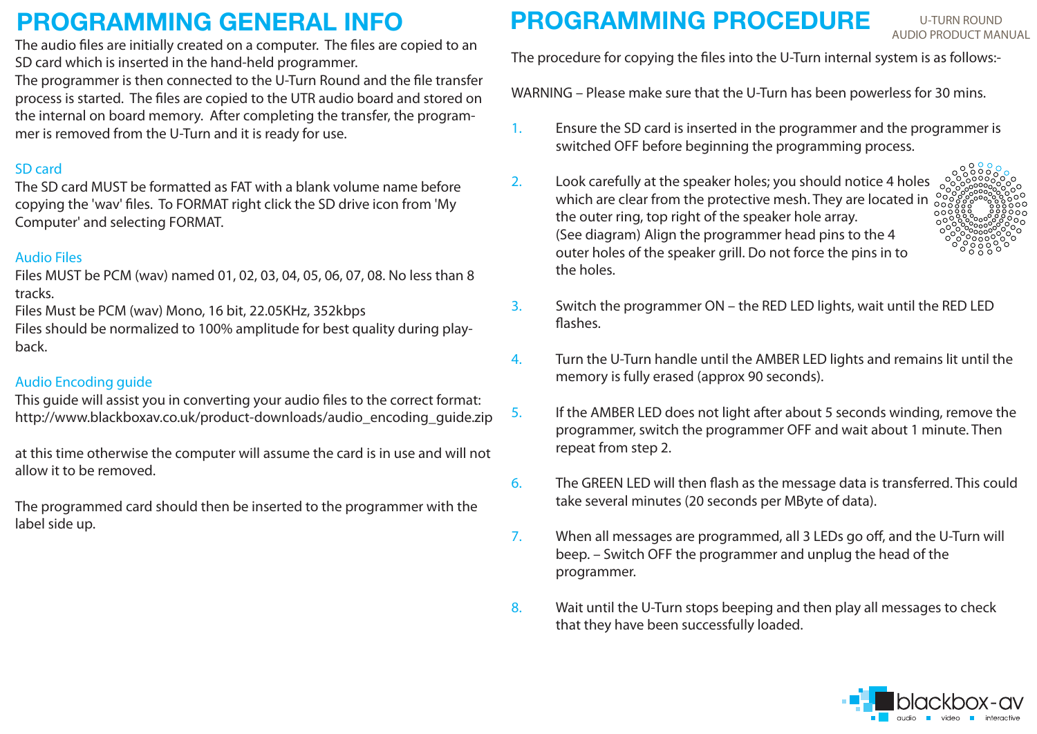## **PROGRAMMING GENERAL INFO**

 The audio files are initially created on a computer. The files are copied to an SD card which is inserted in the hand-held programmer.

The programmer is then connected to the U-Turn Round and the file transfer process is started. The files are copied to the UTR audio board and stored on the internal on board memory. After completing the transfer, the programmer is removed from the U-Turn and it is ready for use.

### SD card

The SD card MUST be formatted as FAT with a blank volume name before copying the 'wav' files. To FORMAT right click the SD drive icon from 'My Computer' and selecting FORMAT.

### Audio Files

Files MUST be PCM (wav) named 01, 02, 03, 04, 05, 06, 07, 08. No less than 8 tracks.

Files Must be PCM (wav) Mono, 16 bit, 22.05KHz, 352kbps

Files should be normalized to 100% amplitude for best quality during playback.

### Audio Encoding guide

This guide will assist you in converting your audio files to the correct format: http://www.blackboxav.co.uk/product-downloads/audio\_encoding\_guide.zip

at this time otherwise the computer will assume the card is in use and will not allow it to be removed.

The programmed card should then be inserted to the programmer with the label side up.

## **PROGRAMMING PROCEDURE**

U-TURN ROUNDAUDIO PRODUCT MANUAL

The procedure for copying the files into the U-Turn internal system is as follows:-

WARNING – Please make sure that the U-Turn has been powerless for 30 mins.

- 1. Ensure the SD card is inserted in the programmer and the programmer is switched OFF before beginning the programming process.
- 2. Look carefully at the speaker holes; you should notice 4 holes which are clear from the protective mesh. They are located in the outer ring, top right of the speaker hole array. (See diagram) Align the programmer head pins to the 4 outer holes of the speaker grill. Do not force the pins in to the holes.



- 3. Switch the programmer ON the RED LED lights, wait until the RED LED flashes.
- 4. Turn the U-Turn handle until the AMBER LED lights and remains lit until the memory is fully erased (approx 90 seconds).
- 5. If the AMBER LED does not light after about 5 seconds winding, remove the programmer, switch the programmer OFF and wait about 1 minute. Then repeat from step 2.
- 6. The GREEN LED will then flash as the message data is transferred. This could take several minutes (20 seconds per MByte of data).
- 7. When all messages are programmed, all 3 LEDs go off, and the U-Turn will beep. – Switch OFF the programmer and unplug the head of the programmer.
- 8. Wait until the U-Turn stops beeping and then play all messages to check that they have been successfully loaded.